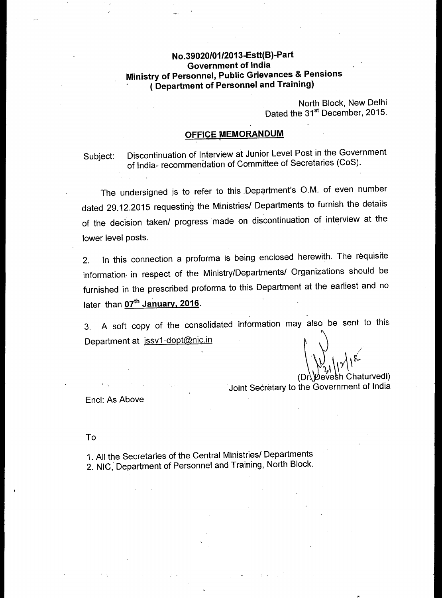## **No.39020/01/2013-Estt(B)-Part Government of India Ministry of Personnel, Public Grievances & Pensions ( Department of Personnel and Training)**

North Block, New Delhi Dated the 31<sup>st</sup> December, 2015.

## **OFFICE MEMORANDUM**

Subject: Discontinuation of Interview at Junior Level Post in the Government of India- recommendation of Committee of Secretaries (CoS).

The undersigned is to refer to this Department's O.M. of even number dated 29.12.2015 requesting the Ministries/ Departments to furnish the details of the decision taken/ progress made on discontinuation of interview at the lower level posts.

2. In this connection a proforma is being enclosed herewith. The requisite information- in respect of the Ministry/Departments/ Organizations should be furnished in the prescribed proforma to this Department at the earliest and no later than 07<sup>th</sup> January, 2016.

3. A soft copy of the consolidated information may also be sent to this Department at jssv1-dopt@nic.in

(Dr. Devesh Chaturvedi) Joint Secretary to the Government of India

Encl: As Above

To

1. All the Secretaries of the Central Ministries/ Departments 2. NIC, Department of Personnel and Training, North Block.